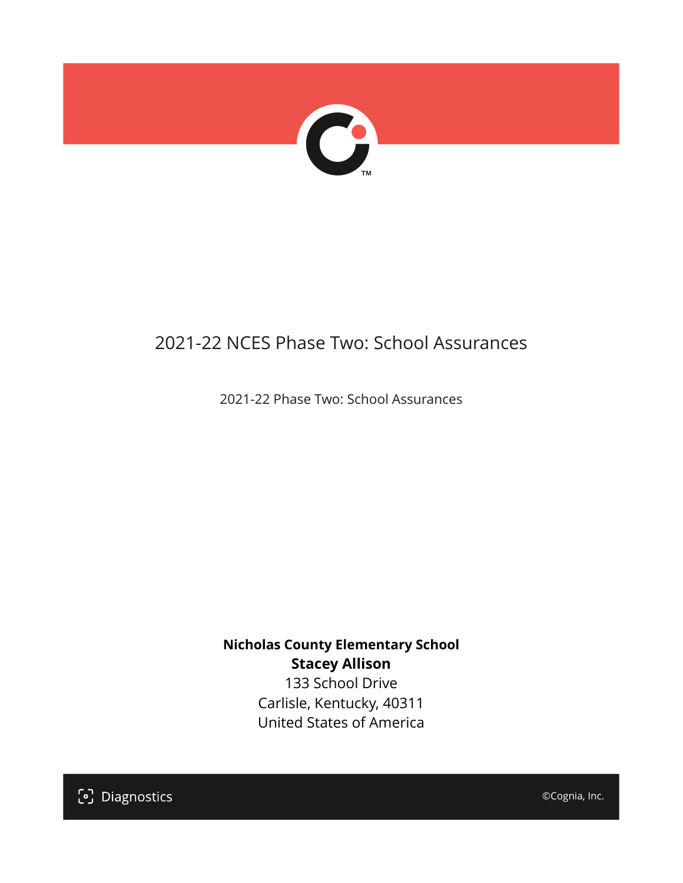

## 2021-22 NCES Phase Two: School Assurances

2021-22 Phase Two: School Assurances

**Nicholas County Elementary School Stacey Allison**

133 School Drive Carlisle, Kentucky, 40311 United States of America

[၁] Diagnostics

©Cognia, Inc.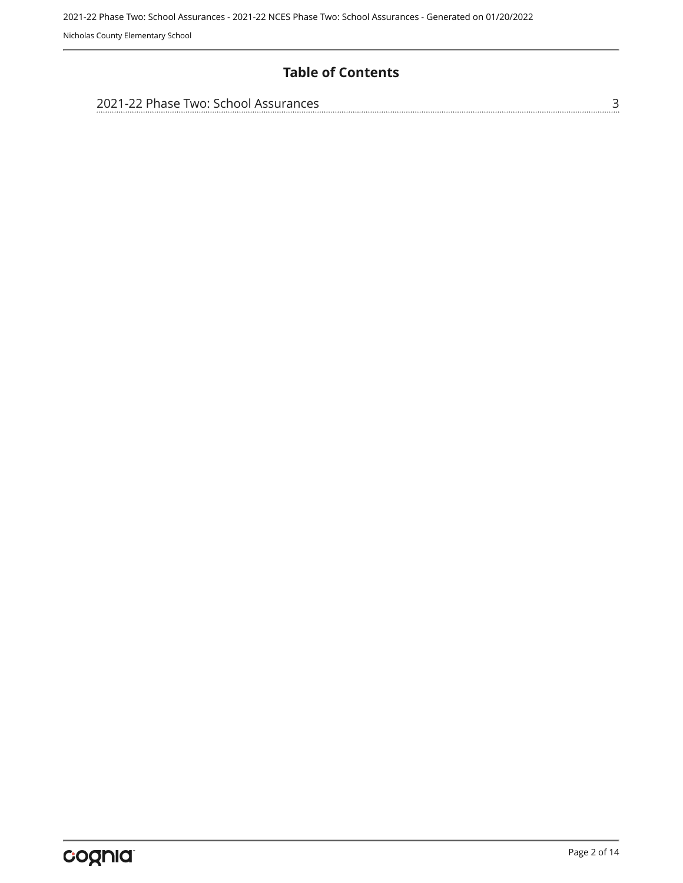Nicholas County Elementary School

#### **Table of Contents**

| 2021-22 Phase Two: School Assurances |  |
|--------------------------------------|--|
|                                      |  |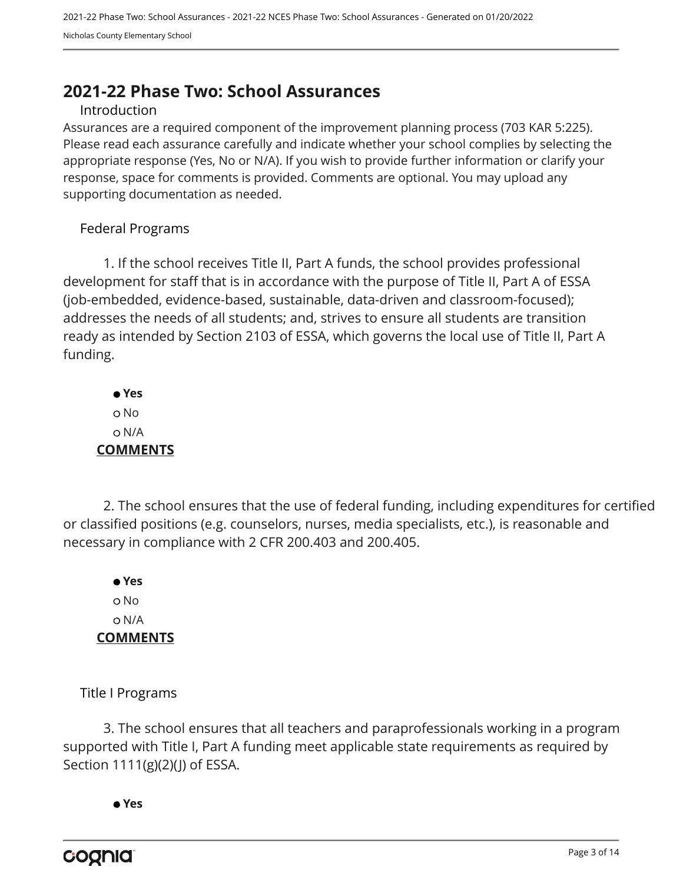### <span id="page-2-0"></span>**2021-22 Phase Two: School Assurances**

#### Introduction

Assurances are a required component of the improvement planning process (703 KAR 5:225). Please read each assurance carefully and indicate whether your school complies by selecting the appropriate response (Yes, No or N/A). If you wish to provide further information or clarify your response, space for comments is provided. Comments are optional. You may upload any supporting documentation as needed.

#### Federal Programs

1. If the school receives Title II, Part A funds, the school provides professional development for staff that is in accordance with the purpose of Title II, Part A of ESSA (job-embedded, evidence-based, sustainable, data-driven and classroom-focused); addresses the needs of all students; and, strives to ensure all students are transition ready as intended by Section 2103 of ESSA, which governs the local use of Title II, Part A funding.

 **Yes** o No N/A **COMMENTS**

2. The school ensures that the use of federal funding, including expenditures for certified or classified positions (e.g. counselors, nurses, media specialists, etc.), is reasonable and necessary in compliance with 2 CFR 200.403 and 200.405.

 **Yes** o No N/A **COMMENTS**

Title I Programs

3. The school ensures that all teachers and paraprofessionals working in a program supported with Title I, Part A funding meet applicable state requirements as required by Section 1111(g)(2)(J) of ESSA.

 **Yes**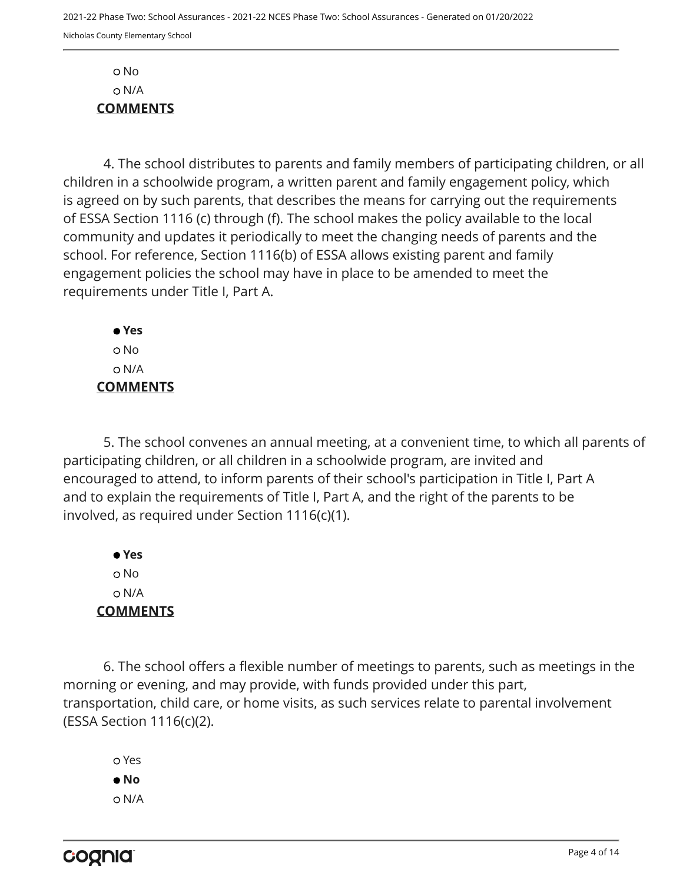No N/A **COMMENTS**

4. The school distributes to parents and family members of participating children, or all children in a schoolwide program, a written parent and family engagement policy, which is agreed on by such parents, that describes the means for carrying out the requirements of ESSA Section 1116 (c) through (f). The school makes the policy available to the local community and updates it periodically to meet the changing needs of parents and the school. For reference, Section 1116(b) of ESSA allows existing parent and family engagement policies the school may have in place to be amended to meet the requirements under Title I, Part A.

 **Yes** No N/A **COMMENTS**

5. The school convenes an annual meeting, at a convenient time, to which all parents of participating children, or all children in a schoolwide program, are invited and encouraged to attend, to inform parents of their school's participation in Title I, Part A and to explain the requirements of Title I, Part A, and the right of the parents to be involved, as required under Section 1116(c)(1).

 **Yes** o No N/A **COMMENTS**

6. The school offers a flexible number of meetings to parents, such as meetings in the morning or evening, and may provide, with funds provided under this part, transportation, child care, or home visits, as such services relate to parental involvement (ESSA Section 1116(c)(2).

 Yes  **No** N/A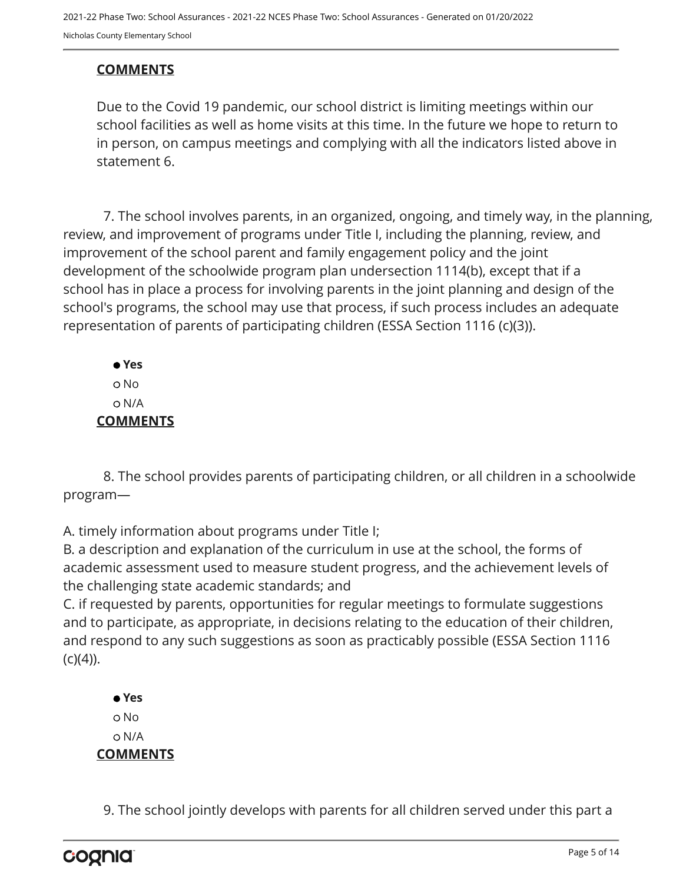#### **COMMENTS**

Due to the Covid 19 pandemic, our school district is limiting meetings within our school facilities as well as home visits at this time. In the future we hope to return to in person, on campus meetings and complying with all the indicators listed above in statement 6.

7. The school involves parents, in an organized, ongoing, and timely way, in the planning, review, and improvement of programs under Title I, including the planning, review, and improvement of the school parent and family engagement policy and the joint development of the schoolwide program plan undersection 1114(b), except that if a school has in place a process for involving parents in the joint planning and design of the school's programs, the school may use that process, if such process includes an adequate representation of parents of participating children (ESSA Section 1116 (c)(3)).

 **Yes** o No N/A **COMMENTS**

8. The school provides parents of participating children, or all children in a schoolwide program—

A. timely information about programs under Title I;

B. a description and explanation of the curriculum in use at the school, the forms of academic assessment used to measure student progress, and the achievement levels of the challenging state academic standards; and

C. if requested by parents, opportunities for regular meetings to formulate suggestions and to participate, as appropriate, in decisions relating to the education of their children, and respond to any such suggestions as soon as practicably possible (ESSA Section 1116  $(c)(4)$ ).

 **Yes** o No N/A **COMMENTS**

9. The school jointly develops with parents for all children served under this part a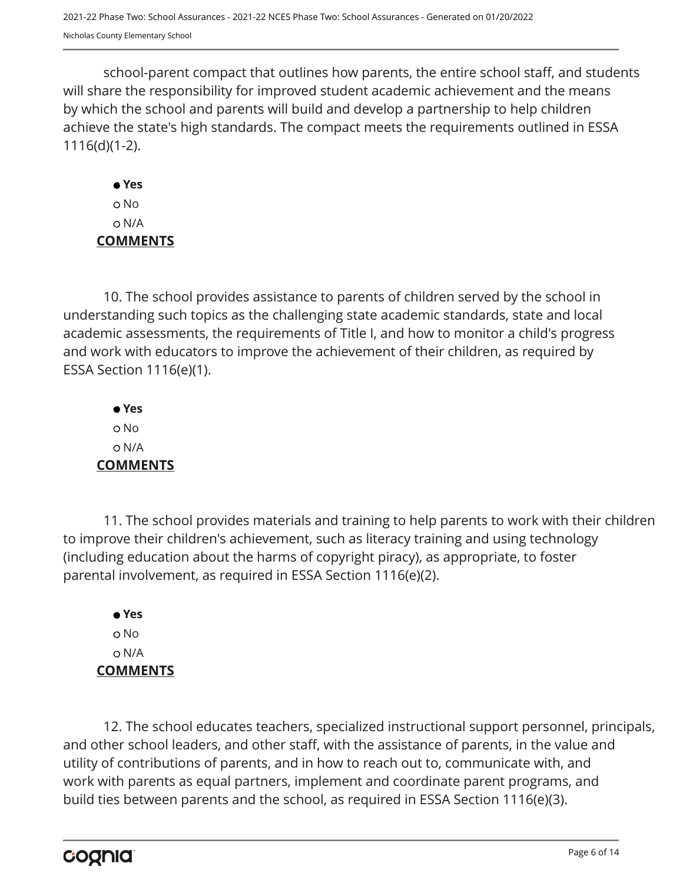school-parent compact that outlines how parents, the entire school staff, and students will share the responsibility for improved student academic achievement and the means by which the school and parents will build and develop a partnership to help children achieve the state's high standards. The compact meets the requirements outlined in ESSA 1116(d)(1-2).

 **Yes** No N/A **COMMENTS**

10. The school provides assistance to parents of children served by the school in understanding such topics as the challenging state academic standards, state and local academic assessments, the requirements of Title I, and how to monitor a child's progress and work with educators to improve the achievement of their children, as required by ESSA Section 1116(e)(1).

 **Yes** No N/A **COMMENTS**

11. The school provides materials and training to help parents to work with their children to improve their children's achievement, such as literacy training and using technology (including education about the harms of copyright piracy), as appropriate, to foster parental involvement, as required in ESSA Section 1116(e)(2).

 **Yes** No N/A **COMMENTS**

12. The school educates teachers, specialized instructional support personnel, principals, and other school leaders, and other staff, with the assistance of parents, in the value and utility of contributions of parents, and in how to reach out to, communicate with, and work with parents as equal partners, implement and coordinate parent programs, and build ties between parents and the school, as required in ESSA Section 1116(e)(3).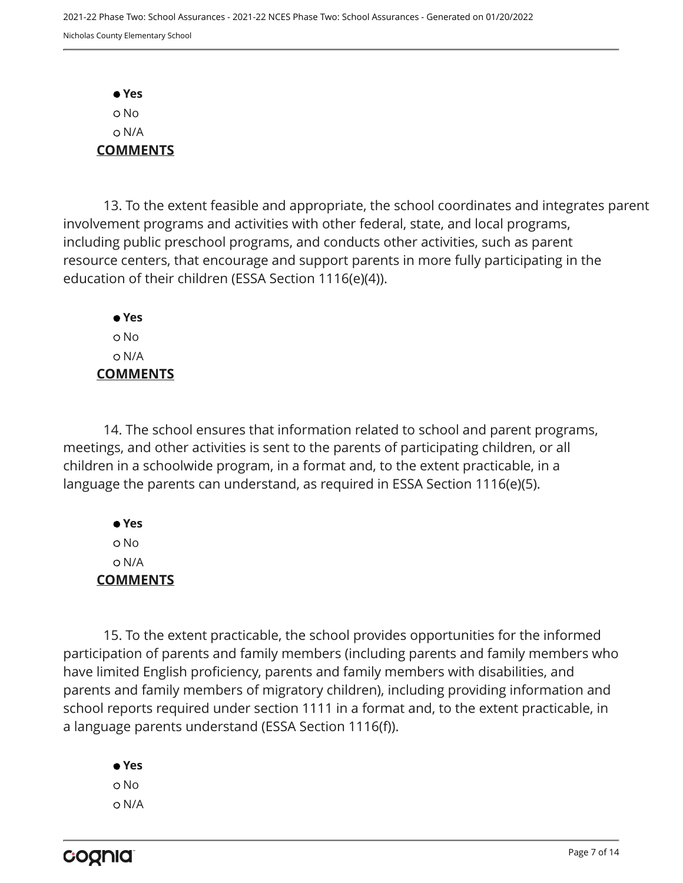**Yes** No N/A **COMMENTS**

13. To the extent feasible and appropriate, the school coordinates and integrates parent involvement programs and activities with other federal, state, and local programs, including public preschool programs, and conducts other activities, such as parent resource centers, that encourage and support parents in more fully participating in the education of their children (ESSA Section 1116(e)(4)).

 **Yes** o No N/A **COMMENTS**

14. The school ensures that information related to school and parent programs, meetings, and other activities is sent to the parents of participating children, or all children in a schoolwide program, in a format and, to the extent practicable, in a language the parents can understand, as required in ESSA Section 1116(e)(5).

 **Yes** No N/A **COMMENTS**

15. To the extent practicable, the school provides opportunities for the informed participation of parents and family members (including parents and family members who have limited English proficiency, parents and family members with disabilities, and parents and family members of migratory children), including providing information and school reports required under section 1111 in a format and, to the extent practicable, in a language parents understand (ESSA Section 1116(f)).

 **Yes** o No N/A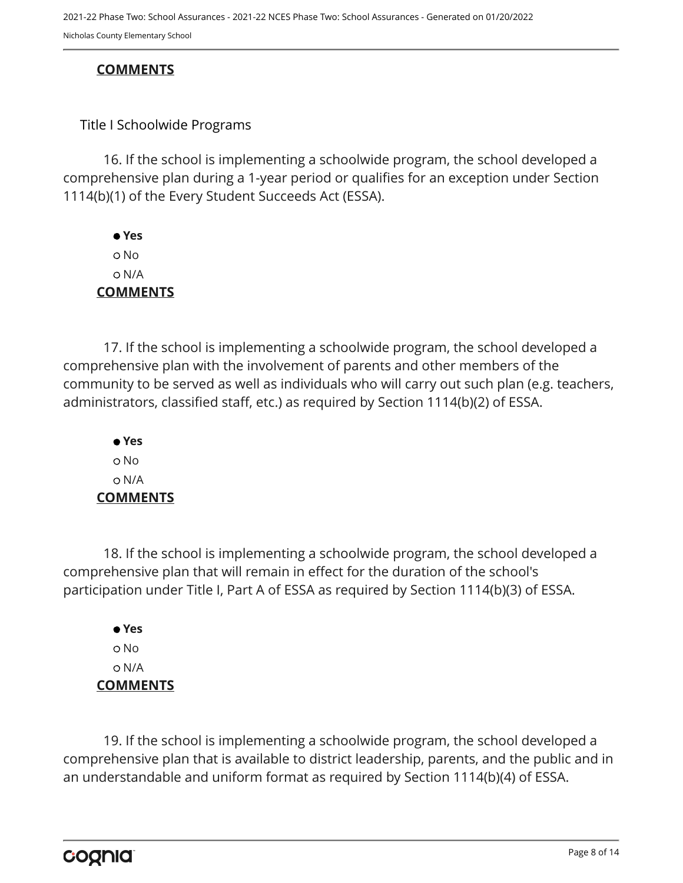#### **COMMENTS**

#### Title I Schoolwide Programs

16. If the school is implementing a schoolwide program, the school developed a comprehensive plan during a 1-year period or qualifies for an exception under Section 1114(b)(1) of the Every Student Succeeds Act (ESSA).

 **Yes** No N/A **COMMENTS**

17. If the school is implementing a schoolwide program, the school developed a comprehensive plan with the involvement of parents and other members of the community to be served as well as individuals who will carry out such plan (e.g. teachers, administrators, classified staff, etc.) as required by Section 1114(b)(2) of ESSA.

 **Yes** o No N/A **COMMENTS**

18. If the school is implementing a schoolwide program, the school developed a comprehensive plan that will remain in effect for the duration of the school's participation under Title I, Part A of ESSA as required by Section 1114(b)(3) of ESSA.

 **Yes** No N/A **COMMENTS**

19. If the school is implementing a schoolwide program, the school developed a comprehensive plan that is available to district leadership, parents, and the public and in an understandable and uniform format as required by Section 1114(b)(4) of ESSA.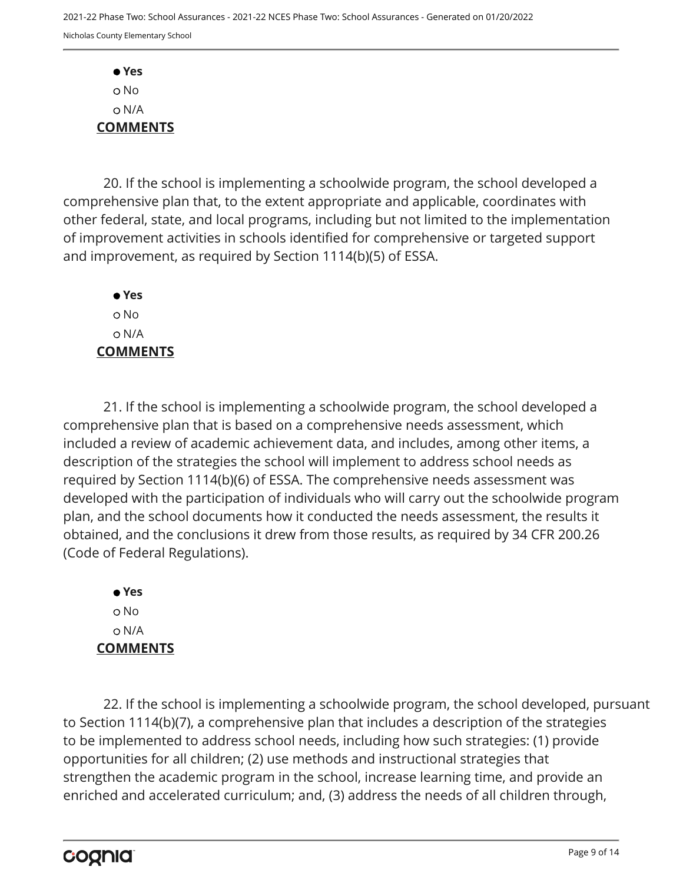**Yes** o No N/A **COMMENTS**

20. If the school is implementing a schoolwide program, the school developed a comprehensive plan that, to the extent appropriate and applicable, coordinates with other federal, state, and local programs, including but not limited to the implementation of improvement activities in schools identified for comprehensive or targeted support and improvement, as required by Section 1114(b)(5) of ESSA.

 **Yes** No N/A **COMMENTS**

21. If the school is implementing a schoolwide program, the school developed a comprehensive plan that is based on a comprehensive needs assessment, which included a review of academic achievement data, and includes, among other items, a description of the strategies the school will implement to address school needs as required by Section 1114(b)(6) of ESSA. The comprehensive needs assessment was developed with the participation of individuals who will carry out the schoolwide program plan, and the school documents how it conducted the needs assessment, the results it obtained, and the conclusions it drew from those results, as required by 34 CFR 200.26 (Code of Federal Regulations).

 **Yes** No N/A **COMMENTS**

22. If the school is implementing a schoolwide program, the school developed, pursuant to Section 1114(b)(7), a comprehensive plan that includes a description of the strategies to be implemented to address school needs, including how such strategies: (1) provide opportunities for all children; (2) use methods and instructional strategies that strengthen the academic program in the school, increase learning time, and provide an enriched and accelerated curriculum; and, (3) address the needs of all children through,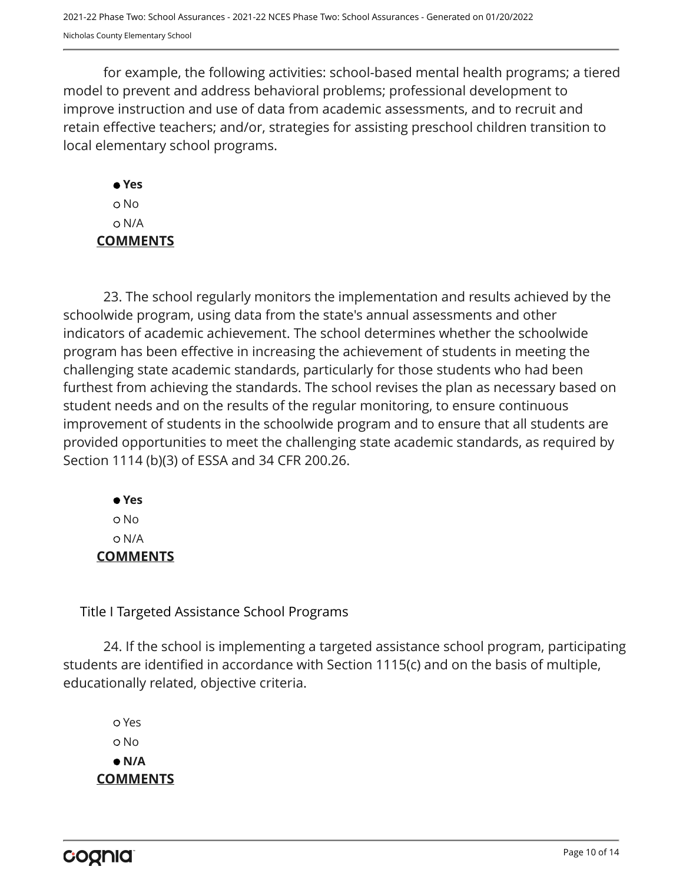for example, the following activities: school-based mental health programs; a tiered model to prevent and address behavioral problems; professional development to improve instruction and use of data from academic assessments, and to recruit and retain effective teachers; and/or, strategies for assisting preschool children transition to local elementary school programs.

 **Yes** No N/A **COMMENTS**

23. The school regularly monitors the implementation and results achieved by the schoolwide program, using data from the state's annual assessments and other indicators of academic achievement. The school determines whether the schoolwide program has been effective in increasing the achievement of students in meeting the challenging state academic standards, particularly for those students who had been furthest from achieving the standards. The school revises the plan as necessary based on student needs and on the results of the regular monitoring, to ensure continuous improvement of students in the schoolwide program and to ensure that all students are provided opportunities to meet the challenging state academic standards, as required by Section 1114 (b)(3) of ESSA and 34 CFR 200.26.

 **Yes** o No N/A **COMMENTS**

Title I Targeted Assistance School Programs

24. If the school is implementing a targeted assistance school program, participating students are identified in accordance with Section 1115(c) and on the basis of multiple, educationally related, objective criteria.

 Yes o No  **N/A COMMENTS**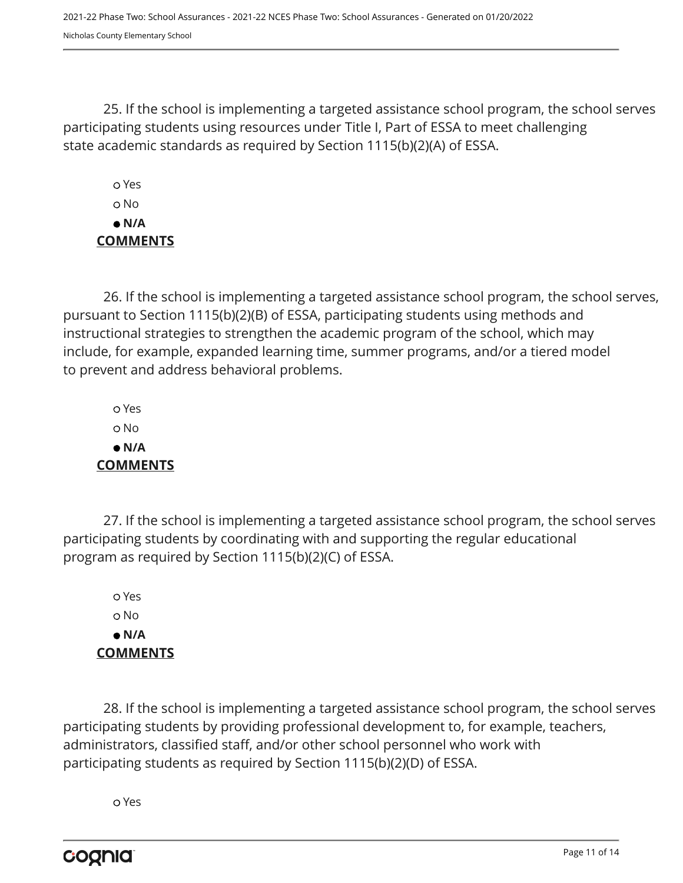25. If the school is implementing a targeted assistance school program, the school serves participating students using resources under Title I, Part of ESSA to meet challenging state academic standards as required by Section 1115(b)(2)(A) of ESSA.

 Yes No  **N/A COMMENTS**

26. If the school is implementing a targeted assistance school program, the school serves, pursuant to Section 1115(b)(2)(B) of ESSA, participating students using methods and instructional strategies to strengthen the academic program of the school, which may include, for example, expanded learning time, summer programs, and/or a tiered model to prevent and address behavioral problems.

 Yes No  **N/A COMMENTS**

27. If the school is implementing a targeted assistance school program, the school serves participating students by coordinating with and supporting the regular educational program as required by Section 1115(b)(2)(C) of ESSA.

 Yes No  **N/A COMMENTS**

28. If the school is implementing a targeted assistance school program, the school serves participating students by providing professional development to, for example, teachers, administrators, classified staff, and/or other school personnel who work with participating students as required by Section 1115(b)(2)(D) of ESSA.

Yes

cognia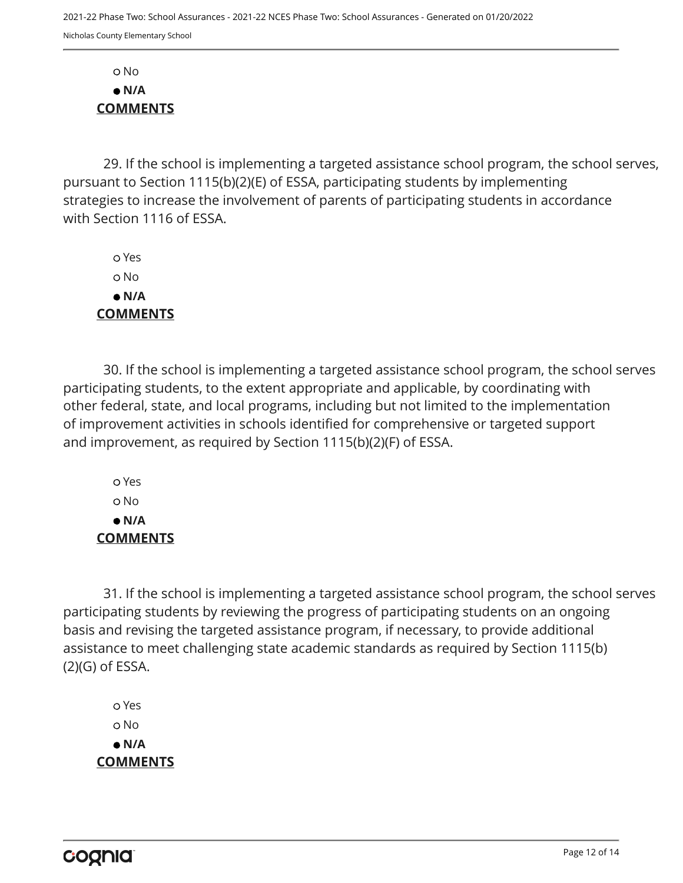No  **N/A COMMENTS**

29. If the school is implementing a targeted assistance school program, the school serves, pursuant to Section 1115(b)(2)(E) of ESSA, participating students by implementing strategies to increase the involvement of parents of participating students in accordance with Section 1116 of ESSA.

 Yes No  **N/A COMMENTS**

30. If the school is implementing a targeted assistance school program, the school serves participating students, to the extent appropriate and applicable, by coordinating with other federal, state, and local programs, including but not limited to the implementation of improvement activities in schools identified for comprehensive or targeted support and improvement, as required by Section 1115(b)(2)(F) of ESSA.

 Yes No  **N/A COMMENTS**

31. If the school is implementing a targeted assistance school program, the school serves participating students by reviewing the progress of participating students on an ongoing basis and revising the targeted assistance program, if necessary, to provide additional assistance to meet challenging state academic standards as required by Section 1115(b) (2)(G) of ESSA.

 Yes No  **N/A COMMENTS**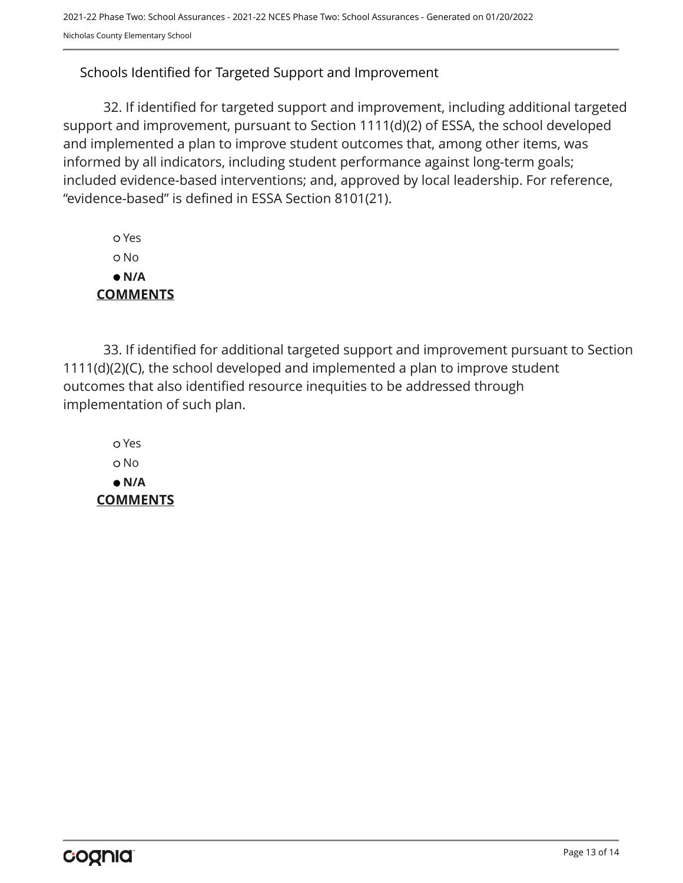#### Schools Identified for Targeted Support and Improvement

32. If identified for targeted support and improvement, including additional targeted support and improvement, pursuant to Section 1111(d)(2) of ESSA, the school developed and implemented a plan to improve student outcomes that, among other items, was informed by all indicators, including student performance against long-term goals; included evidence-based interventions; and, approved by local leadership. For reference, "evidence-based" is defined in ESSA Section 8101(21).

 Yes No  **N/A COMMENTS**

33. If identified for additional targeted support and improvement pursuant to Section 1111(d)(2)(C), the school developed and implemented a plan to improve student outcomes that also identified resource inequities to be addressed through implementation of such plan.

 Yes No  **N/A COMMENTS**